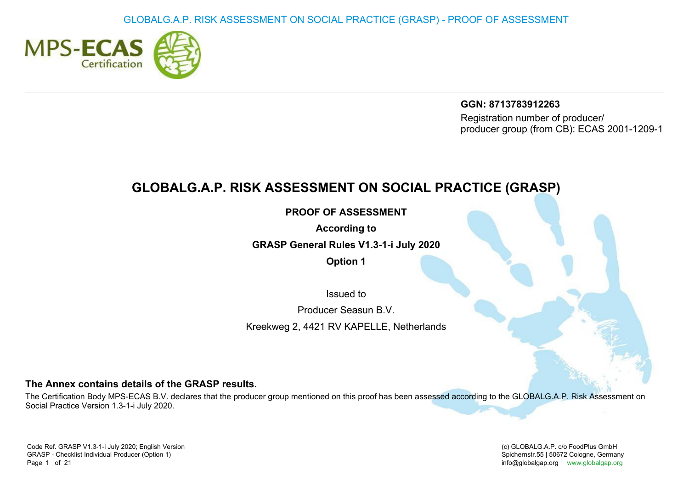

**GGN: 8713783912263** Registration number of producer/producer group (from CB): ECAS 2001-1209-1

# **GLOBALG.A.P. RISK ASSESSMENT ON SOCIAL PRACTICE (GRASP)**

**PROOF OF ASSESSMENT**

**According to**

**GRASP General Rules V1.3-1-i July 2020**

**Option 1**

Issued to

Producer Seasun B.V.

Kreekweg 2, 4421 RV KAPELLE, Netherlands

# **The Annex contains details of the GRASP results.**

The Certification Body MPS-ECAS B.V. declares that the producer group mentioned on this proof has been assessed according to the GLOBALG.A.P. Risk Assessment on Social Practice Version 1.3-1-i July 2020.

(c) GLOBALG.A.P. c/o FoodPlus GmbHSpichernstr.55 | 50672 Cologne, Germany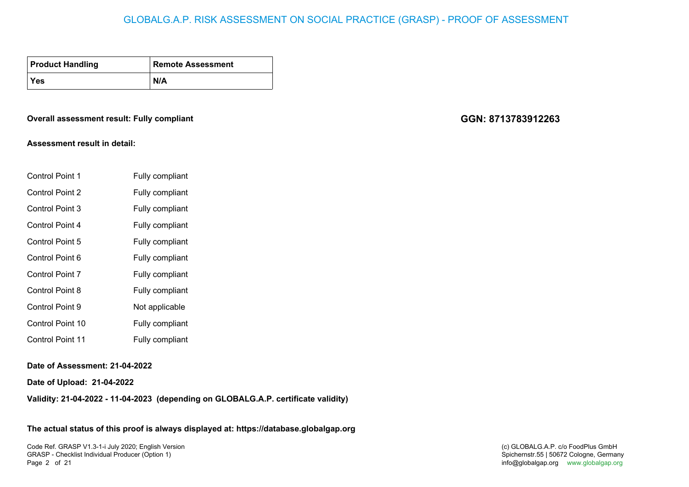# GLOBALG.A.P. RISK ASSESSMENT ON SOCIAL PRACTICE (GRASP) - PROOF OF ASSESSMENT

| <b>Product Handling</b> | <b>Remote Assessment</b> |
|-------------------------|--------------------------|
| ∣ Yes                   | N/A                      |

#### **Overall assessment result: Fully compliant**

#### **GGN: 8713783912263**

**Assessment result in detail:**

Control Point 1 Fully compliant Control Point 2 Fully compliant Control Point 3 Fully compliant Control Point 4 Fully compliant Control Point 5 Fully compliant Control Point 6 Fully compliant Control Point 7 Fully compliant Control Point 8 Fully compliant Control Point 9 Not applicable Control Point 10 Fully compliant Control Point 11Fully compliant

#### **Date of Assessment: 21-04-2022**

**Date of Upload: 21-04-2022**

**Validity: 21-04-2022 - 11-04-2023 (depending on GLOBALG.A.P. certificate validity)**

**The actual status of this proof is always displayed at: https://database.globalgap.org**

Code Ref. GRASP V1.3-1-i July 2020; English VersionGRASP - Checklist Individual Producer (Option 1)Page 2 of 21 of 21 **of 21** and the unit of the set of 21 and the set of 21 and the set of 21 and the set of 21 and the set of 21 and the set of 21 and the set of 21 and the set of 21 and the set of 21 and the set of 21 and the set of 2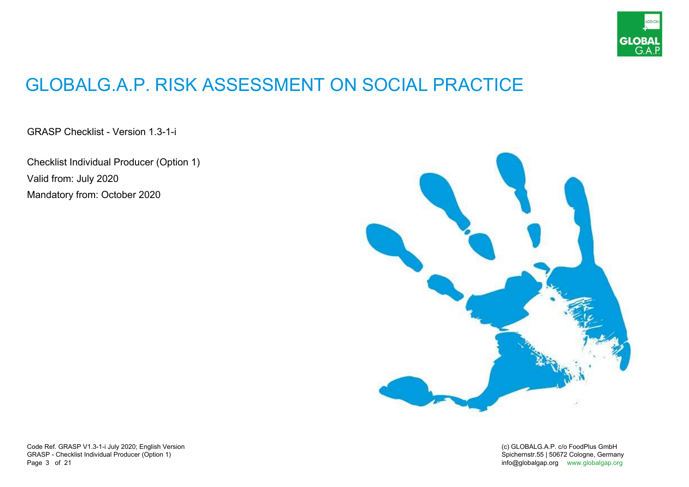

# GLOBALG.A.P. RISK ASSESSMENT ON SOCIAL PRACTICE

GRASP Checklist - Version 1.3-1-i

Checklist Individual Producer (Option 1)Valid from: July 2020Mandatory from: October 2020



Code Ref. GRASP V1.3-1-i July 2020; English VersionGRASP - Checklist Individual Producer (Option 1)Page 3 of 21 of 21 **of the contract of the contract of the contract of the contract of the contract of the contract of the contract of the contract of the contract of the contract of the contract of the contract of the contract of the** 

(c) GLOBALG.A.P. c/o FoodPlus GmbHSpichernstr.55 | 50672 Cologne, Germany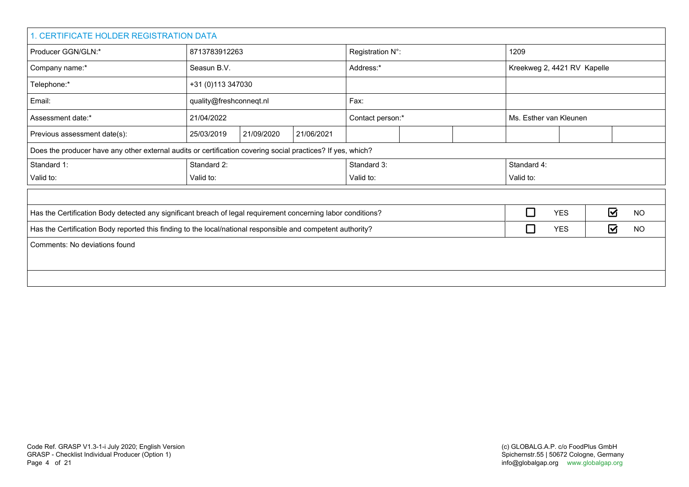| 1. CERTIFICATE HOLDER REGISTRATION DATA                                                                      |                         |                    |            |                                            |                             |             |                         |           |  |
|--------------------------------------------------------------------------------------------------------------|-------------------------|--------------------|------------|--------------------------------------------|-----------------------------|-------------|-------------------------|-----------|--|
| Producer GGN/GLN:*                                                                                           | 8713783912263           |                    |            | Registration N°:                           | 1209                        |             |                         |           |  |
| Company name:*                                                                                               | Seasun B.V.             |                    |            | Address:*                                  | Kreekweg 2, 4421 RV Kapelle |             |                         |           |  |
| Telephone:*                                                                                                  |                         | +31 (0) 113 347030 |            |                                            |                             |             |                         |           |  |
| Email:                                                                                                       | quality@freshconneqt.nl |                    |            | Fax:                                       |                             |             |                         |           |  |
| Assessment date:*                                                                                            | 21/04/2022              |                    |            | Contact person:*<br>Ms. Esther van Kleunen |                             |             |                         |           |  |
| Previous assessment date(s):                                                                                 | 25/03/2019              | 21/09/2020         | 21/06/2021 |                                            |                             |             |                         |           |  |
| Does the producer have any other external audits or certification covering social practices? If yes, which?  |                         |                    |            |                                            |                             |             |                         |           |  |
| Standard 1:                                                                                                  | Standard 2:             |                    |            | Standard 3:                                |                             | Standard 4: |                         |           |  |
| Valid to:                                                                                                    | Valid to:               |                    |            | Valid to:                                  | Valid to:                   |             |                         |           |  |
|                                                                                                              |                         |                    |            |                                            |                             |             |                         |           |  |
| Has the Certification Body detected any significant breach of legal requirement concerning labor conditions? |                         |                    |            |                                            | П                           | <b>YES</b>  | $\overline{\mathbf{z}}$ | <b>NO</b> |  |
| Has the Certification Body reported this finding to the local/national responsible and competent authority?  |                         |                    |            |                                            | $\Box$                      | <b>YES</b>  | $\overline{\mathbf{S}}$ | <b>NO</b> |  |
| Comments: No deviations found                                                                                |                         |                    |            |                                            |                             |             |                         |           |  |
|                                                                                                              |                         |                    |            |                                            |                             |             |                         |           |  |
|                                                                                                              |                         |                    |            |                                            |                             |             |                         |           |  |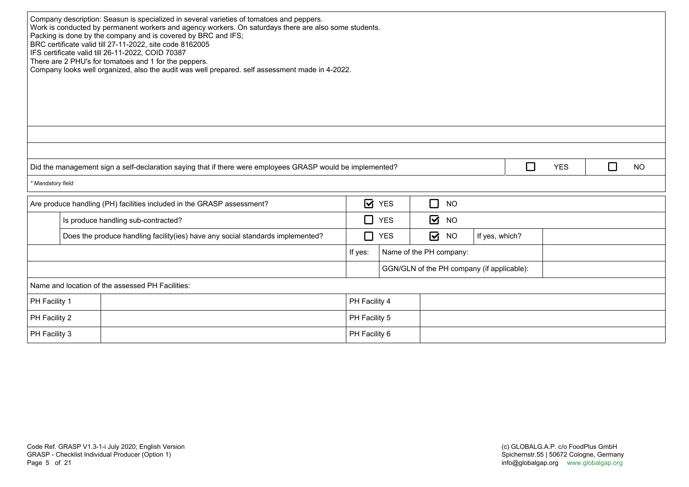|                   | Company description: Seasun is specialized in several varieties of tomatoes and peppers.<br>Work is conducted by permanent workers and agency workers. On saturdays there are also some students.<br>Packing is done by the company and is covered by BRC and IFS;<br>BRC certificate valid till 27-11-2022, site code 8162005<br>IFS certificate valid till 26-11-2022, COID 70387<br>There are 2 PHU's for tomatoes and 1 for the peppers.<br>Company looks well organized, also the audit was well prepared. self assessment made in 4-2022. |               |                         |                         |                   |                                            |   |            |                     |
|-------------------|-------------------------------------------------------------------------------------------------------------------------------------------------------------------------------------------------------------------------------------------------------------------------------------------------------------------------------------------------------------------------------------------------------------------------------------------------------------------------------------------------------------------------------------------------|---------------|-------------------------|-------------------------|-------------------|--------------------------------------------|---|------------|---------------------|
|                   |                                                                                                                                                                                                                                                                                                                                                                                                                                                                                                                                                 |               |                         |                         |                   |                                            |   |            |                     |
|                   |                                                                                                                                                                                                                                                                                                                                                                                                                                                                                                                                                 |               |                         |                         |                   |                                            |   |            |                     |
|                   | Did the management sign a self-declaration saying that if there were employees GRASP would be implemented?                                                                                                                                                                                                                                                                                                                                                                                                                                      |               |                         |                         |                   |                                            | □ | <b>YES</b> | $\Box$<br><b>NO</b> |
| * Mandatory field |                                                                                                                                                                                                                                                                                                                                                                                                                                                                                                                                                 |               |                         |                         |                   |                                            |   |            |                     |
|                   | Are produce handling (PH) facilities included in the GRASP assessment?                                                                                                                                                                                                                                                                                                                                                                                                                                                                          | ☑             | <b>YES</b>              | $\Box$                  | <b>NO</b>         |                                            |   |            |                     |
|                   | Is produce handling sub-contracted?                                                                                                                                                                                                                                                                                                                                                                                                                                                                                                             | □             | <b>YES</b>              | $\overline{\mathbf{S}}$ | <b>NO</b>         |                                            |   |            |                     |
|                   | Does the produce handling facility(ies) have any social standards implemented?                                                                                                                                                                                                                                                                                                                                                                                                                                                                  | $\Box$        | <b>YES</b>              |                         | $\overline{M}$ NO | If yes, which?                             |   |            |                     |
|                   |                                                                                                                                                                                                                                                                                                                                                                                                                                                                                                                                                 | If yes:       | Name of the PH company: |                         |                   |                                            |   |            |                     |
|                   |                                                                                                                                                                                                                                                                                                                                                                                                                                                                                                                                                 |               |                         |                         |                   | GGN/GLN of the PH company (if applicable): |   |            |                     |
|                   | Name and location of the assessed PH Facilities:                                                                                                                                                                                                                                                                                                                                                                                                                                                                                                |               |                         |                         |                   |                                            |   |            |                     |
| PH Facility 1     |                                                                                                                                                                                                                                                                                                                                                                                                                                                                                                                                                 | PH Facility 4 |                         |                         |                   |                                            |   |            |                     |
| PH Facility 2     |                                                                                                                                                                                                                                                                                                                                                                                                                                                                                                                                                 | PH Facility 5 |                         |                         |                   |                                            |   |            |                     |
| PH Facility 3     |                                                                                                                                                                                                                                                                                                                                                                                                                                                                                                                                                 | PH Facility 6 |                         |                         |                   |                                            |   |            |                     |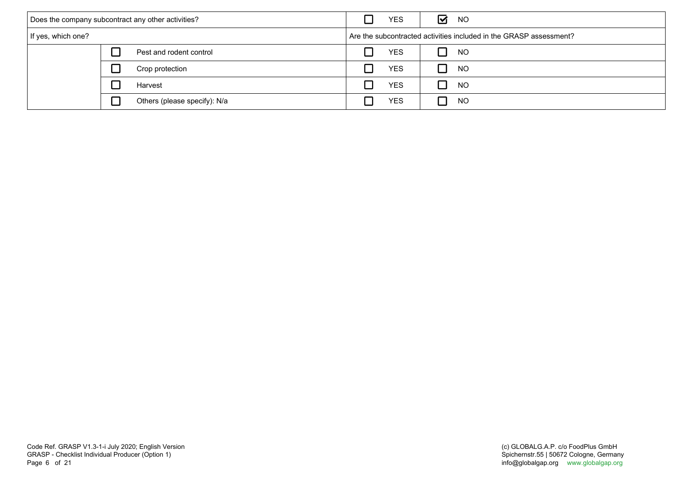| Does the company subcontract any other activities? |                         |                              | <b>YES</b> | ☑<br><b>NO</b> |                                                                    |
|----------------------------------------------------|-------------------------|------------------------------|------------|----------------|--------------------------------------------------------------------|
| If yes, which one?                                 |                         |                              |            |                | Are the subcontracted activities included in the GRASP assessment? |
|                                                    | Pest and rodent control |                              |            | <b>YES</b>     | <b>NO</b>                                                          |
|                                                    |                         | Crop protection              |            | <b>YES</b>     | <b>NO</b>                                                          |
|                                                    |                         | Harvest                      |            | <b>YES</b>     | <b>NO</b>                                                          |
|                                                    |                         | Others (please specify): N/a |            | <b>YES</b>     | <b>NO</b>                                                          |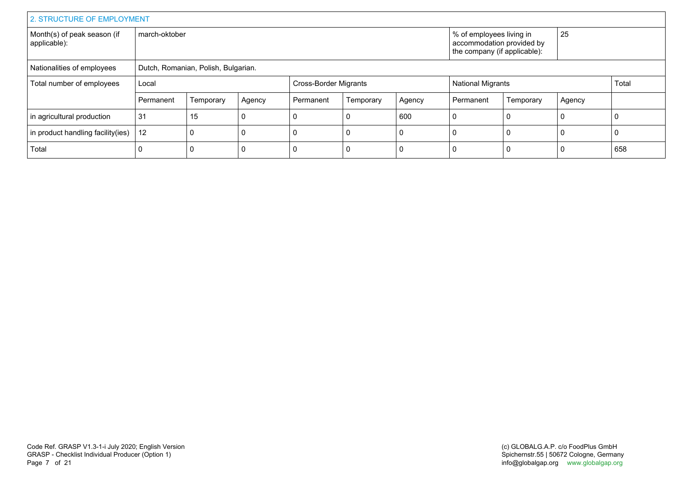| 2. STRUCTURE OF EMPLOYMENT                  |                                     |           |                              |           |           |                                                                                       |           |           |        |     |
|---------------------------------------------|-------------------------------------|-----------|------------------------------|-----------|-----------|---------------------------------------------------------------------------------------|-----------|-----------|--------|-----|
| Month(s) of peak season (if<br>applicable): | march-oktober                       |           |                              |           |           | % of employees living in<br>accommodation provided by<br>the company (if applicable): |           | 25        |        |     |
| Nationalities of employees                  | Dutch, Romanian, Polish, Bulgarian. |           |                              |           |           |                                                                                       |           |           |        |     |
| Total number of employees                   | Local                               |           | <b>Cross-Border Migrants</b> |           |           | <b>National Migrants</b>                                                              |           |           | Total  |     |
|                                             | Permanent                           | Temporary | Agency                       | Permanent | Temporary | Agency                                                                                | Permanent | Temporary | Agency |     |
| in agricultural production                  | 31                                  | 15        |                              |           |           | 600                                                                                   | 0         |           |        |     |
| in product handling facility(ies)           | 12                                  |           |                              |           | 0         |                                                                                       | 0         |           |        |     |
| Total                                       |                                     |           |                              |           | O         |                                                                                       | 0         |           |        | 658 |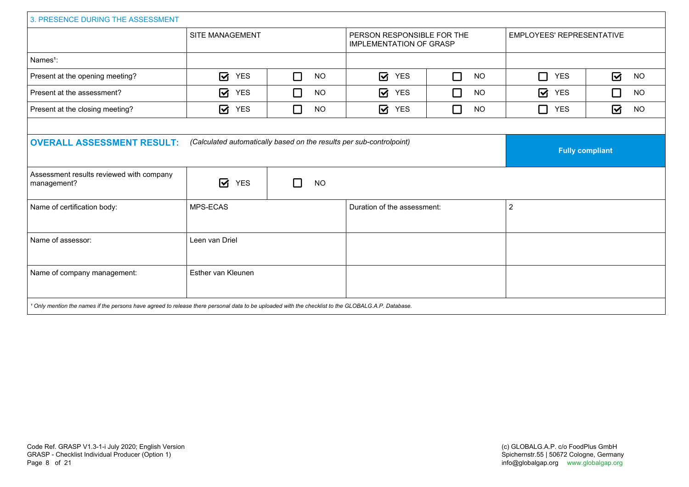| 3. PRESENCE DURING THE ASSESSMENT                                                                                                                             |                                                                      |                     |                                                              |                |                                  |                                      |
|---------------------------------------------------------------------------------------------------------------------------------------------------------------|----------------------------------------------------------------------|---------------------|--------------------------------------------------------------|----------------|----------------------------------|--------------------------------------|
|                                                                                                                                                               | SITE MANAGEMENT                                                      |                     | PERSON RESPONSIBLE FOR THE<br><b>IMPLEMENTATION OF GRASP</b> |                | <b>EMPLOYEES' REPRESENTATIVE</b> |                                      |
| Names <sup>1</sup> :                                                                                                                                          |                                                                      |                     |                                                              |                |                                  |                                      |
| Present at the opening meeting?                                                                                                                               | $\overline{\mathbf{M}}$<br><b>YES</b>                                | $\Box$<br><b>NO</b> | $\overline{\mathbf{M}}$<br><b>YES</b>                        | П<br><b>NO</b> | П<br><b>YES</b>                  | $\overline{\mathbf{z}}$<br><b>NO</b> |
| Present at the assessment?                                                                                                                                    | ☑<br><b>YES</b>                                                      | $\Box$<br><b>NO</b> | $\overline{\mathbf{z}}$<br><b>YES</b>                        | □<br><b>NO</b> | 囨<br><b>YES</b>                  | □<br><b>NO</b>                       |
| Present at the closing meeting?                                                                                                                               | ☑<br><b>YES</b>                                                      | П<br><b>NO</b>      | ☑<br><b>YES</b>                                              | П<br><b>NO</b> | $\Box$<br><b>YES</b>             | ☑<br><b>NO</b>                       |
|                                                                                                                                                               |                                                                      |                     |                                                              |                |                                  |                                      |
| <b>OVERALL ASSESSMENT RESULT:</b>                                                                                                                             | (Calculated automatically based on the results per sub-controlpoint) |                     | <b>Fully compliant</b>                                       |                |                                  |                                      |
| Assessment results reviewed with company<br>management?                                                                                                       | ☑<br><b>YES</b>                                                      | П<br><b>NO</b>      |                                                              |                |                                  |                                      |
| Name of certification body:                                                                                                                                   | MPS-ECAS                                                             |                     | Duration of the assessment:                                  |                | $\overline{2}$                   |                                      |
| Name of assessor:                                                                                                                                             | Leen van Driel                                                       |                     |                                                              |                |                                  |                                      |
| Name of company management:                                                                                                                                   | Esther van Kleunen                                                   |                     |                                                              |                |                                  |                                      |
| <sup>1</sup> Only mention the names if the persons have agreed to release there personal data to be uploaded with the checklist to the GLOBALG.A.P. Database. |                                                                      |                     |                                                              |                |                                  |                                      |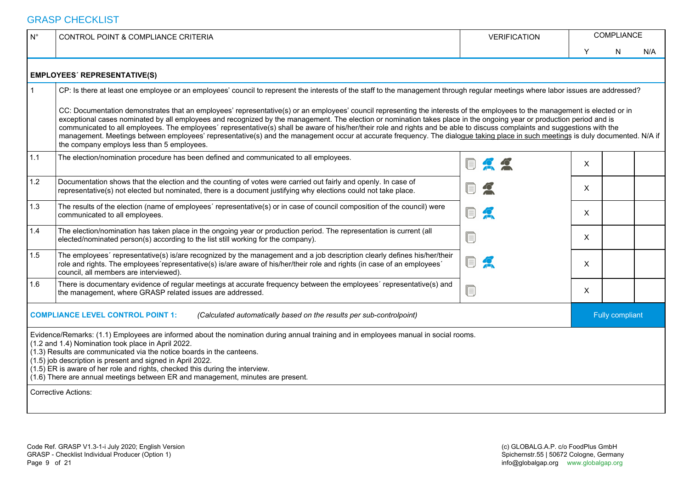### GRASP CHECKLIST

| $N^{\circ}$  | CONTROL POINT & COMPLIANCE CRITERIA                                                                                                                                                                                                                                                                                                                                                                                                                                                                                                                                                                                                                                                                                                                                                                                                                                                                                                                     | <b>VERIFICATION</b> |    | COMPLIANCE      |     |  |  |  |  |
|--------------|---------------------------------------------------------------------------------------------------------------------------------------------------------------------------------------------------------------------------------------------------------------------------------------------------------------------------------------------------------------------------------------------------------------------------------------------------------------------------------------------------------------------------------------------------------------------------------------------------------------------------------------------------------------------------------------------------------------------------------------------------------------------------------------------------------------------------------------------------------------------------------------------------------------------------------------------------------|---------------------|----|-----------------|-----|--|--|--|--|
|              |                                                                                                                                                                                                                                                                                                                                                                                                                                                                                                                                                                                                                                                                                                                                                                                                                                                                                                                                                         |                     | Y  | N               | N/A |  |  |  |  |
|              | <b>EMPLOYEES' REPRESENTATIVE(S)</b>                                                                                                                                                                                                                                                                                                                                                                                                                                                                                                                                                                                                                                                                                                                                                                                                                                                                                                                     |                     |    |                 |     |  |  |  |  |
| $\mathbf{1}$ | CP: Is there at least one employee or an employees' council to represent the interests of the staff to the management through regular meetings where labor issues are addressed?<br>CC: Documentation demonstrates that an employees' representative(s) or an employees' council representing the interests of the employees to the management is elected or in<br>exceptional cases nominated by all employees and recognized by the management. The election or nomination takes place in the ongoing year or production period and is<br>communicated to all employees. The employees' representative(s) shall be aware of his/her/their role and rights and be able to discuss complaints and suggestions with the<br>management. Meetings between employees' representative(s) and the management occur at accurate frequency. The dialogue taking place in such meetings is duly documented. N/A if<br>the company employs less than 5 employees. |                     |    |                 |     |  |  |  |  |
| 1.1          | The election/nomination procedure has been defined and communicated to all employees.                                                                                                                                                                                                                                                                                                                                                                                                                                                                                                                                                                                                                                                                                                                                                                                                                                                                   |                     | X  |                 |     |  |  |  |  |
| 1.2          | Documentation shows that the election and the counting of votes were carried out fairly and openly. In case of<br>representative(s) not elected but nominated, there is a document justifying why elections could not take place.                                                                                                                                                                                                                                                                                                                                                                                                                                                                                                                                                                                                                                                                                                                       |                     | X  |                 |     |  |  |  |  |
| 1.3          | The results of the election (name of employees' representative(s) or in case of council composition of the council) were<br>communicated to all employees.                                                                                                                                                                                                                                                                                                                                                                                                                                                                                                                                                                                                                                                                                                                                                                                              |                     | X. |                 |     |  |  |  |  |
| 1.4          | The election/nomination has taken place in the ongoing year or production period. The representation is current (all<br>elected/nominated person(s) according to the list still working for the company).                                                                                                                                                                                                                                                                                                                                                                                                                                                                                                                                                                                                                                                                                                                                               |                     | X  |                 |     |  |  |  |  |
| 1.5          | The employees' representative(s) is/are recognized by the management and a job description clearly defines his/her/their<br>role and rights. The employees representative(s) is/are aware of his/her/their role and rights (in case of an employees'<br>council, all members are interviewed).                                                                                                                                                                                                                                                                                                                                                                                                                                                                                                                                                                                                                                                          |                     | X  |                 |     |  |  |  |  |
| 1.6          | There is documentary evidence of regular meetings at accurate frequency between the employees' representative(s) and<br>the management, where GRASP related issues are addressed.                                                                                                                                                                                                                                                                                                                                                                                                                                                                                                                                                                                                                                                                                                                                                                       | U                   | X  |                 |     |  |  |  |  |
|              | <b>COMPLIANCE LEVEL CONTROL POINT 1:</b><br>(Calculated automatically based on the results per sub-controlpoint)                                                                                                                                                                                                                                                                                                                                                                                                                                                                                                                                                                                                                                                                                                                                                                                                                                        |                     |    | Fully compliant |     |  |  |  |  |
|              | Evidence/Remarks: (1.1) Employees are informed about the nomination during annual training and in employees manual in social rooms.<br>(1.2 and 1.4) Nomination took place in April 2022.<br>(1.3) Results are communicated via the notice boards in the canteens.<br>(1.5) job description is present and signed in April 2022.<br>(1.5) ER is aware of her role and rights, checked this during the interview.<br>(1.6) There are annual meetings between ER and management, minutes are present.<br><b>Corrective Actions:</b>                                                                                                                                                                                                                                                                                                                                                                                                                       |                     |    |                 |     |  |  |  |  |
|              |                                                                                                                                                                                                                                                                                                                                                                                                                                                                                                                                                                                                                                                                                                                                                                                                                                                                                                                                                         |                     |    |                 |     |  |  |  |  |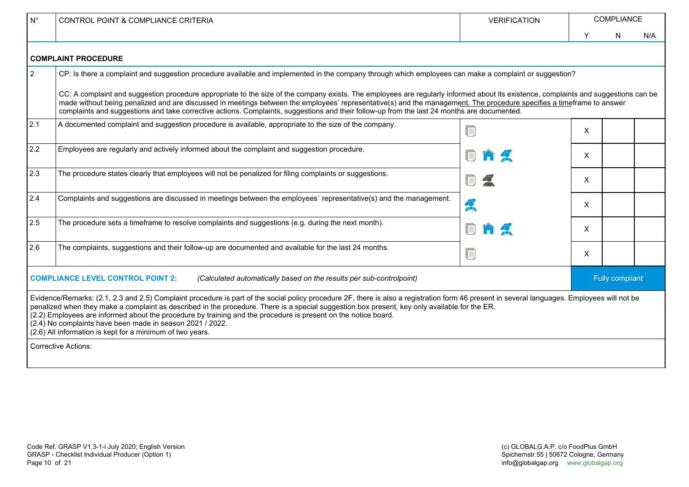| $N^{\circ}$                                                                                                                                                                                                                                                                                                                                                                                                                                                                                                 | CONTROL POINT & COMPLIANCE CRITERIA                                                                                                                                                                                                                                                                                                                                                                                                                                                                                                                                                       | <b>VERIFICATION</b>             | <b>COMPLIANCE</b>         |                 |     |  |  |
|-------------------------------------------------------------------------------------------------------------------------------------------------------------------------------------------------------------------------------------------------------------------------------------------------------------------------------------------------------------------------------------------------------------------------------------------------------------------------------------------------------------|-------------------------------------------------------------------------------------------------------------------------------------------------------------------------------------------------------------------------------------------------------------------------------------------------------------------------------------------------------------------------------------------------------------------------------------------------------------------------------------------------------------------------------------------------------------------------------------------|---------------------------------|---------------------------|-----------------|-----|--|--|
|                                                                                                                                                                                                                                                                                                                                                                                                                                                                                                             |                                                                                                                                                                                                                                                                                                                                                                                                                                                                                                                                                                                           |                                 | Y                         | N               | N/A |  |  |
|                                                                                                                                                                                                                                                                                                                                                                                                                                                                                                             | <b>COMPLAINT PROCEDURE</b>                                                                                                                                                                                                                                                                                                                                                                                                                                                                                                                                                                |                                 |                           |                 |     |  |  |
| $\overline{2}$                                                                                                                                                                                                                                                                                                                                                                                                                                                                                              | CP: Is there a complaint and suggestion procedure available and implemented in the company through which employees can make a complaint or suggestion?                                                                                                                                                                                                                                                                                                                                                                                                                                    |                                 |                           |                 |     |  |  |
| CC: A complaint and suggestion procedure appropriate to the size of the company exists. The employees are regularly informed about its existence, complaints and suggestions can be<br>made without being penalized and are discussed in meetings between the employees' representative(s) and the management. The procedure specifies a timeframe to answer<br>complaints and suggestions and take corrective actions. Complaints, suggestions and their follow-up from the last 24 months are documented. |                                                                                                                                                                                                                                                                                                                                                                                                                                                                                                                                                                                           |                                 |                           |                 |     |  |  |
| 2.1                                                                                                                                                                                                                                                                                                                                                                                                                                                                                                         | A documented complaint and suggestion procedure is available, appropriate to the size of the company.                                                                                                                                                                                                                                                                                                                                                                                                                                                                                     | $\blacksquare$                  | $\times$                  |                 |     |  |  |
| 2.2                                                                                                                                                                                                                                                                                                                                                                                                                                                                                                         | Employees are regularly and actively informed about the complaint and suggestion procedure.                                                                                                                                                                                                                                                                                                                                                                                                                                                                                               |                                 | $\times$                  |                 |     |  |  |
| 2.3                                                                                                                                                                                                                                                                                                                                                                                                                                                                                                         | The procedure states clearly that employees will not be penalized for filing complaints or suggestions.                                                                                                                                                                                                                                                                                                                                                                                                                                                                                   |                                 | X                         |                 |     |  |  |
| 2.4                                                                                                                                                                                                                                                                                                                                                                                                                                                                                                         | Complaints and suggestions are discussed in meetings between the employees' representative(s) and the management.                                                                                                                                                                                                                                                                                                                                                                                                                                                                         | A                               | $\times$                  |                 |     |  |  |
| 2.5                                                                                                                                                                                                                                                                                                                                                                                                                                                                                                         | The procedure sets a timeframe to resolve complaints and suggestions (e.g. during the next month).                                                                                                                                                                                                                                                                                                                                                                                                                                                                                        |                                 | $\boldsymbol{\mathsf{X}}$ |                 |     |  |  |
| 2.6                                                                                                                                                                                                                                                                                                                                                                                                                                                                                                         | The complaints, suggestions and their follow-up are documented and available for the last 24 months.                                                                                                                                                                                                                                                                                                                                                                                                                                                                                      | $\textcolor{red}{\blacksquare}$ | X                         |                 |     |  |  |
|                                                                                                                                                                                                                                                                                                                                                                                                                                                                                                             | <b>COMPLIANCE LEVEL CONTROL POINT 2:</b><br>(Calculated automatically based on the results per sub-controlpoint)                                                                                                                                                                                                                                                                                                                                                                                                                                                                          |                                 |                           | Fully compliant |     |  |  |
|                                                                                                                                                                                                                                                                                                                                                                                                                                                                                                             | Evidence/Remarks: (2.1, 2.3 and 2.5) Complaint procedure is part of the social policy procedure 2F, there is also a registration form 46 present in several languages. Employees will not be<br>penalized when they make a complaint as described in the procedure. There is a special suggestion box present, key only available for the ER.<br>(2.2) Employees are informed about the procedure by training and the procedure is present on the notice board.<br>(2.4) No complaints have been made in season 2021 / 2022.<br>(2.6) All information is kept for a minimum of two years. |                                 |                           |                 |     |  |  |
|                                                                                                                                                                                                                                                                                                                                                                                                                                                                                                             | <b>Corrective Actions:</b>                                                                                                                                                                                                                                                                                                                                                                                                                                                                                                                                                                |                                 |                           |                 |     |  |  |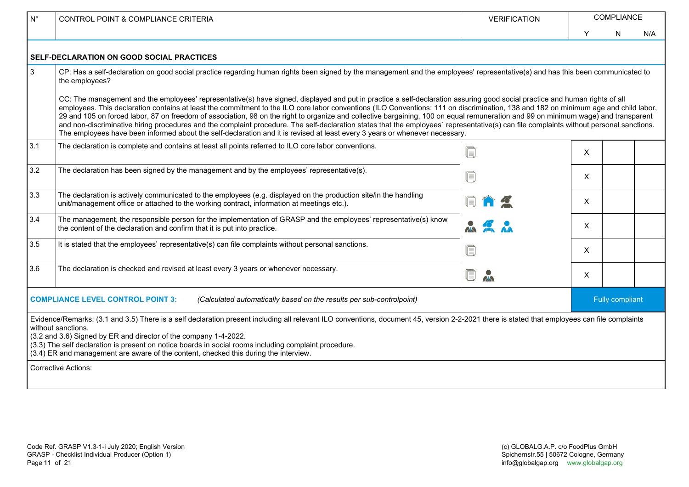| $N^{\circ}$ | <b>CONTROL POINT &amp; COMPLIANCE CRITERIA</b>                                                                                                                                                                                                                                                                                                                                                                                                                                                                                                                                                                                                                                                                                                                                                                                                                                     | <b>VERIFICATION</b> |   | COMPLIANCE      |     |  |  |  |
|-------------|------------------------------------------------------------------------------------------------------------------------------------------------------------------------------------------------------------------------------------------------------------------------------------------------------------------------------------------------------------------------------------------------------------------------------------------------------------------------------------------------------------------------------------------------------------------------------------------------------------------------------------------------------------------------------------------------------------------------------------------------------------------------------------------------------------------------------------------------------------------------------------|---------------------|---|-----------------|-----|--|--|--|
|             |                                                                                                                                                                                                                                                                                                                                                                                                                                                                                                                                                                                                                                                                                                                                                                                                                                                                                    |                     | Υ | N               | N/A |  |  |  |
|             | <b>SELF-DECLARATION ON GOOD SOCIAL PRACTICES</b>                                                                                                                                                                                                                                                                                                                                                                                                                                                                                                                                                                                                                                                                                                                                                                                                                                   |                     |   |                 |     |  |  |  |
| 3           | CP: Has a self-declaration on good social practice regarding human rights been signed by the management and the employees' representative(s) and has this been communicated to<br>the employees?                                                                                                                                                                                                                                                                                                                                                                                                                                                                                                                                                                                                                                                                                   |                     |   |                 |     |  |  |  |
|             | CC: The management and the employees' representative(s) have signed, displayed and put in practice a self-declaration assuring good social practice and human rights of all<br>employees. This declaration contains at least the commitment to the ILO core labor conventions (ILO Conventions: 111 on discrimination, 138 and 182 on minimum age and child labor,<br>29 and 105 on forced labor, 87 on freedom of association, 98 on the right to organize and collective bargaining, 100 on equal remuneration and 99 on minimum wage) and transparent<br>and non-discriminative hiring procedures and the complaint procedure. The self-declaration states that the employees' representative(s) can file complaints without personal sanctions.<br>The employees have been informed about the self-declaration and it is revised at least every 3 years or whenever necessary. |                     |   |                 |     |  |  |  |
| 3.1         | The declaration is complete and contains at least all points referred to ILO core labor conventions.                                                                                                                                                                                                                                                                                                                                                                                                                                                                                                                                                                                                                                                                                                                                                                               | ſ                   | X |                 |     |  |  |  |
| 3.2         | The declaration has been signed by the management and by the employees' representative(s).                                                                                                                                                                                                                                                                                                                                                                                                                                                                                                                                                                                                                                                                                                                                                                                         |                     | X |                 |     |  |  |  |
| 3.3         | The declaration is actively communicated to the employees (e.g. displayed on the production site/in the handling<br>unit/management office or attached to the working contract, information at meetings etc.).                                                                                                                                                                                                                                                                                                                                                                                                                                                                                                                                                                                                                                                                     |                     | X |                 |     |  |  |  |
| 3.4         | The management, the responsible person for the implementation of GRASP and the employees' representative(s) know<br>the content of the declaration and confirm that it is put into practice.                                                                                                                                                                                                                                                                                                                                                                                                                                                                                                                                                                                                                                                                                       |                     | X |                 |     |  |  |  |
| 3.5         | It is stated that the employees' representative(s) can file complaints without personal sanctions.                                                                                                                                                                                                                                                                                                                                                                                                                                                                                                                                                                                                                                                                                                                                                                                 | U                   | X |                 |     |  |  |  |
| 3.6         | The declaration is checked and revised at least every 3 years or whenever necessary.                                                                                                                                                                                                                                                                                                                                                                                                                                                                                                                                                                                                                                                                                                                                                                                               | UJ                  | X |                 |     |  |  |  |
|             | <b>COMPLIANCE LEVEL CONTROL POINT 3:</b><br>(Calculated automatically based on the results per sub-controlpoint)                                                                                                                                                                                                                                                                                                                                                                                                                                                                                                                                                                                                                                                                                                                                                                   |                     |   | Fully compliant |     |  |  |  |
|             | Evidence/Remarks: (3.1 and 3.5) There is a self declaration present including all relevant ILO conventions, document 45, version 2-2-2021 there is stated that employees can file complaints<br>without sanctions.<br>(3.2 and 3.6) Signed by ER and director of the company 1-4-2022.<br>(3.3) The self declaration is present on notice boards in social rooms including complaint procedure.<br>(3.4) ER and management are aware of the content, checked this during the interview.                                                                                                                                                                                                                                                                                                                                                                                            |                     |   |                 |     |  |  |  |
|             | Corrective Actions:                                                                                                                                                                                                                                                                                                                                                                                                                                                                                                                                                                                                                                                                                                                                                                                                                                                                |                     |   |                 |     |  |  |  |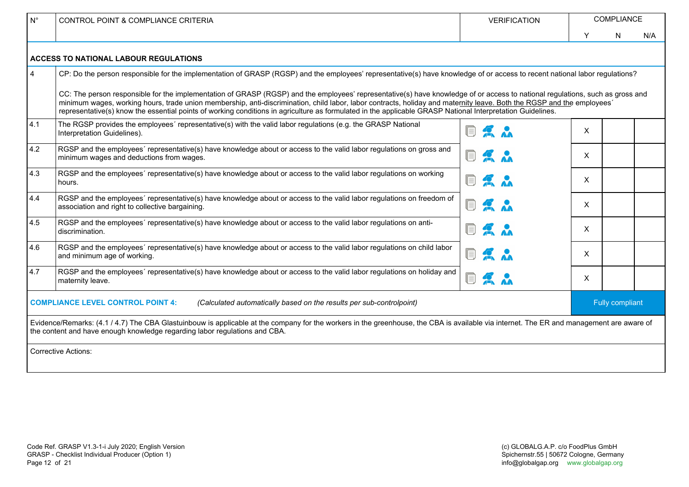| $N^{\circ}$                                                                                                                                                                                                                                                                                                                                                                                                                                                                                                           | CONTROL POINT & COMPLIANCE CRITERIA                                                                                                                                                                                                                                    | <b>VERIFICATION</b>        |          | <b>COMPLIANCE</b> |     |  |  |  |
|-----------------------------------------------------------------------------------------------------------------------------------------------------------------------------------------------------------------------------------------------------------------------------------------------------------------------------------------------------------------------------------------------------------------------------------------------------------------------------------------------------------------------|------------------------------------------------------------------------------------------------------------------------------------------------------------------------------------------------------------------------------------------------------------------------|----------------------------|----------|-------------------|-----|--|--|--|
|                                                                                                                                                                                                                                                                                                                                                                                                                                                                                                                       |                                                                                                                                                                                                                                                                        |                            | Y        | N                 | N/A |  |  |  |
|                                                                                                                                                                                                                                                                                                                                                                                                                                                                                                                       | <b>ACCESS TO NATIONAL LABOUR REGULATIONS</b>                                                                                                                                                                                                                           |                            |          |                   |     |  |  |  |
| $\overline{4}$                                                                                                                                                                                                                                                                                                                                                                                                                                                                                                        | CP: Do the person responsible for the implementation of GRASP (RGSP) and the employees' representative(s) have knowledge of or access to recent national labor regulations?                                                                                            |                            |          |                   |     |  |  |  |
| CC: The person responsible for the implementation of GRASP (RGSP) and the employees' representative(s) have knowledge of or access to national regulations, such as gross and<br>minimum wages, working hours, trade union membership, anti-discrimination, child labor, labor contracts, holiday and maternity leave. Both the RGSP and the employees'<br>representative(s) know the essential points of working conditions in agriculture as formulated in the applicable GRASP National Interpretation Guidelines. |                                                                                                                                                                                                                                                                        |                            |          |                   |     |  |  |  |
| 4.1                                                                                                                                                                                                                                                                                                                                                                                                                                                                                                                   | The RGSP provides the employees' representative(s) with the valid labor regulations (e.g. the GRASP National<br>Interpretation Guidelines).                                                                                                                            |                            | X        |                   |     |  |  |  |
| 4.2                                                                                                                                                                                                                                                                                                                                                                                                                                                                                                                   | RGSP and the employees' representative(s) have knowledge about or access to the valid labor regulations on gross and<br>minimum wages and deductions from wages.                                                                                                       | $\frac{1}{2}$              | X        |                   |     |  |  |  |
| 4.3                                                                                                                                                                                                                                                                                                                                                                                                                                                                                                                   | RGSP and the employees' representative(s) have knowledge about or access to the valid labor regulations on working<br>hours.                                                                                                                                           | $\mathbf{A}$               | X        |                   |     |  |  |  |
| 4.4                                                                                                                                                                                                                                                                                                                                                                                                                                                                                                                   | RGSP and the employees' representative(s) have knowledge about or access to the valid labor regulations on freedom of<br>association and right to collective bargaining.                                                                                               | n<br>$\sum_{n=1}^{\infty}$ | X        |                   |     |  |  |  |
| 4.5                                                                                                                                                                                                                                                                                                                                                                                                                                                                                                                   | RGSP and the employees' representative(s) have knowledge about or access to the valid labor regulations on anti-<br>discrimination.                                                                                                                                    | 2 <sub>n</sub>             | X        |                   |     |  |  |  |
| 4.6                                                                                                                                                                                                                                                                                                                                                                                                                                                                                                                   | RGSP and the employees' representative(s) have knowledge about or access to the valid labor regulations on child labor<br>and minimum age of working.                                                                                                                  | $\mathbf{A}$               | $\times$ |                   |     |  |  |  |
| 4.7                                                                                                                                                                                                                                                                                                                                                                                                                                                                                                                   | RGSP and the employees' representative(s) have knowledge about or access to the valid labor regulations on holiday and<br>maternity leave.                                                                                                                             | 2 <sub>n</sub><br>UJ       | X        |                   |     |  |  |  |
|                                                                                                                                                                                                                                                                                                                                                                                                                                                                                                                       | <b>COMPLIANCE LEVEL CONTROL POINT 4:</b><br>(Calculated automatically based on the results per sub-controlpoint)                                                                                                                                                       |                            |          | Fully compliant   |     |  |  |  |
|                                                                                                                                                                                                                                                                                                                                                                                                                                                                                                                       | Evidence/Remarks: (4.1 / 4.7) The CBA Glastuinbouw is applicable at the company for the workers in the greenhouse, the CBA is available via internet. The ER and management are aware of<br>the content and have enough knowledge regarding labor regulations and CBA. |                            |          |                   |     |  |  |  |
|                                                                                                                                                                                                                                                                                                                                                                                                                                                                                                                       | <b>Corrective Actions:</b>                                                                                                                                                                                                                                             |                            |          |                   |     |  |  |  |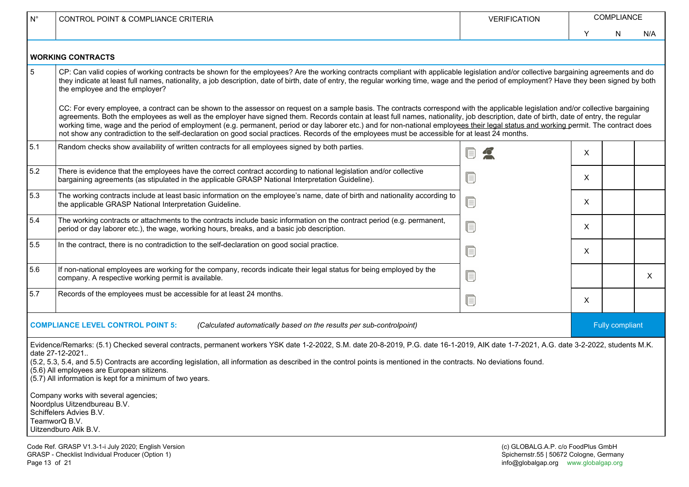|                                                                                                                                                                                                                                                                                                                                                                                                                                                                                                                                                                      | COMPLIANCE |                 |  |  |  |  |  |
|----------------------------------------------------------------------------------------------------------------------------------------------------------------------------------------------------------------------------------------------------------------------------------------------------------------------------------------------------------------------------------------------------------------------------------------------------------------------------------------------------------------------------------------------------------------------|------------|-----------------|--|--|--|--|--|
| Y                                                                                                                                                                                                                                                                                                                                                                                                                                                                                                                                                                    | N          | N/A             |  |  |  |  |  |
|                                                                                                                                                                                                                                                                                                                                                                                                                                                                                                                                                                      |            |                 |  |  |  |  |  |
| CP: Can valid copies of working contracts be shown for the employees? Are the working contracts compliant with applicable legislation and/or collective bargaining agreements and do<br>they indicate at least full names, nationality, a job description, date of birth, date of entry, the regular working time, wage and the period of employment? Have they been signed by both                                                                                                                                                                                  |            |                 |  |  |  |  |  |
| CC: For every employee, a contract can be shown to the assessor on request on a sample basis. The contracts correspond with the applicable legislation and/or collective bargaining<br>agreements. Both the employees as well as the employer have signed them. Records contain at least full names, nationality, job description, date of birth, date of entry, the regular<br>working time, wage and the period of employment (e.g. permanent, period or day laborer etc.) and for non-national employees their legal status and working permit. The contract does |            |                 |  |  |  |  |  |
| X                                                                                                                                                                                                                                                                                                                                                                                                                                                                                                                                                                    |            |                 |  |  |  |  |  |
| X                                                                                                                                                                                                                                                                                                                                                                                                                                                                                                                                                                    |            |                 |  |  |  |  |  |
| X                                                                                                                                                                                                                                                                                                                                                                                                                                                                                                                                                                    |            |                 |  |  |  |  |  |
| X                                                                                                                                                                                                                                                                                                                                                                                                                                                                                                                                                                    |            |                 |  |  |  |  |  |
| X                                                                                                                                                                                                                                                                                                                                                                                                                                                                                                                                                                    |            |                 |  |  |  |  |  |
|                                                                                                                                                                                                                                                                                                                                                                                                                                                                                                                                                                      |            | X               |  |  |  |  |  |
| X                                                                                                                                                                                                                                                                                                                                                                                                                                                                                                                                                                    |            |                 |  |  |  |  |  |
|                                                                                                                                                                                                                                                                                                                                                                                                                                                                                                                                                                      |            |                 |  |  |  |  |  |
| Evidence/Remarks: (5.1) Checked several contracts, permanent workers YSK date 1-2-2022, S.M. date 20-8-2019, P.G. date 16-1-2019, AIK date 1-7-2021, A.G. date 3-2-2022, students M.K.<br>date 27-12-2021<br>(5.2, 5.3, 5.4, and 5.5) Contracts are according legislation, all information as described in the control points is mentioned in the contracts. No deviations found.<br>(5.6) All employees are European sitizens.<br>(5.7) All information is kept for a minimum of two years.                                                                         |            |                 |  |  |  |  |  |
|                                                                                                                                                                                                                                                                                                                                                                                                                                                                                                                                                                      |            |                 |  |  |  |  |  |
|                                                                                                                                                                                                                                                                                                                                                                                                                                                                                                                                                                      |            | Fully compliant |  |  |  |  |  |

Code Ref. GRASP V1.3-1-i July 2020; English Version GRASP - Checklist Individual Producer (Option 1) Page 13 of 21 e Ref. GRASP V1.3-1-i July 2020; English Version<br>ASP - Checklist Individual Producer (Option 1)<br>Capacity of 21 Microsofted and the info@globalgap.org www.globalgap.org www.globalgap.org www.globalgap.org ww<br>Capacity of 21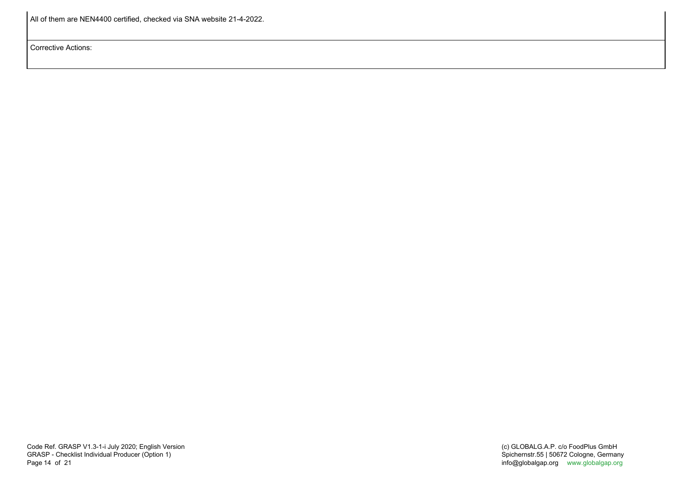All of them are NEN4400 certified, checked via SNA website 21-4-2022.

Corrective Actions: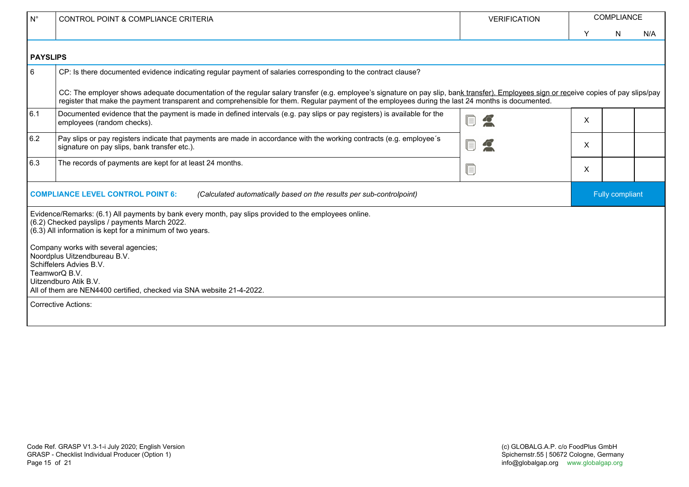| $N^{\circ}$     | <b>CONTROL POINT &amp; COMPLIANCE CRITERIA</b>                                                                                                                                                                                                                                                                                                                   | <b>VERIFICATION</b> | <b>COMPLIANCE</b>      |   |     |  |  |  |  |  |
|-----------------|------------------------------------------------------------------------------------------------------------------------------------------------------------------------------------------------------------------------------------------------------------------------------------------------------------------------------------------------------------------|---------------------|------------------------|---|-----|--|--|--|--|--|
|                 |                                                                                                                                                                                                                                                                                                                                                                  |                     | Υ                      | N | N/A |  |  |  |  |  |
| <b>PAYSLIPS</b> |                                                                                                                                                                                                                                                                                                                                                                  |                     |                        |   |     |  |  |  |  |  |
| 6               | CP: Is there documented evidence indicating regular payment of salaries corresponding to the contract clause?                                                                                                                                                                                                                                                    |                     |                        |   |     |  |  |  |  |  |
|                 | CC: The employer shows adequate documentation of the regular salary transfer (e.g. employee's signature on pay slip, bank transfer). Employees sign or receive copies of pay slips/pay<br>register that make the payment transparent and comprehensible for them. Regular payment of the employees during the last 24 months is documented.                      |                     |                        |   |     |  |  |  |  |  |
| 6.1             | Documented evidence that the payment is made in defined intervals (e.g. pay slips or pay registers) is available for the<br>employees (random checks).                                                                                                                                                                                                           |                     | X                      |   |     |  |  |  |  |  |
| 6.2             | Pay slips or pay registers indicate that payments are made in accordance with the working contracts (e.g. employee's<br>signature on pay slips, bank transfer etc.).                                                                                                                                                                                             |                     | X                      |   |     |  |  |  |  |  |
| 6.3             | The records of payments are kept for at least 24 months.                                                                                                                                                                                                                                                                                                         | II,                 | X                      |   |     |  |  |  |  |  |
|                 | <b>COMPLIANCE LEVEL CONTROL POINT 6:</b><br>(Calculated automatically based on the results per sub-controlpoint)                                                                                                                                                                                                                                                 |                     | <b>Fully compliant</b> |   |     |  |  |  |  |  |
|                 | Evidence/Remarks: (6.1) All payments by bank every month, pay slips provided to the employees online.<br>(6.2) Checked payslips / payments March 2022.<br>(6.3) All information is kept for a minimum of two years.<br>Company works with several agencies;<br>Noordplus Uitzendbureau B.V.<br>Schiffelers Advies B.V.<br>TeamworQ B.V.<br>Uitzendburo Atik B.V. |                     |                        |   |     |  |  |  |  |  |
|                 | All of them are NEN4400 certified, checked via SNA website 21-4-2022.                                                                                                                                                                                                                                                                                            |                     |                        |   |     |  |  |  |  |  |
|                 | <b>Corrective Actions:</b>                                                                                                                                                                                                                                                                                                                                       |                     |                        |   |     |  |  |  |  |  |
|                 |                                                                                                                                                                                                                                                                                                                                                                  |                     |                        |   |     |  |  |  |  |  |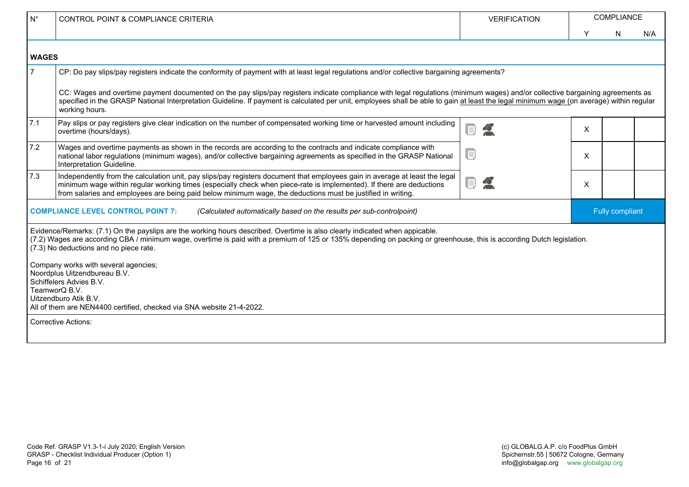| $N^{\circ}$                                                           | <b>CONTROL POINT &amp; COMPLIANCE CRITERIA</b>                                                                                                                                                                                                                                                                                                                                                                                                                     | <b>VERIFICATION</b> | <b>COMPLIANCE</b> |                 |     |
|-----------------------------------------------------------------------|--------------------------------------------------------------------------------------------------------------------------------------------------------------------------------------------------------------------------------------------------------------------------------------------------------------------------------------------------------------------------------------------------------------------------------------------------------------------|---------------------|-------------------|-----------------|-----|
|                                                                       |                                                                                                                                                                                                                                                                                                                                                                                                                                                                    |                     | Y                 | N               | N/A |
| <b>WAGES</b>                                                          |                                                                                                                                                                                                                                                                                                                                                                                                                                                                    |                     |                   |                 |     |
|                                                                       | CP: Do pay slips/pay registers indicate the conformity of payment with at least legal regulations and/or collective bargaining agreements?                                                                                                                                                                                                                                                                                                                         |                     |                   |                 |     |
|                                                                       | CC: Wages and overtime payment documented on the pay slips/pay registers indicate compliance with legal regulations (minimum wages) and/or collective bargaining agreements as<br>specified in the GRASP National Interpretation Guideline. If payment is calculated per unit, employees shall be able to gain at least the legal minimum wage (on average) within regular<br>working hours.                                                                       |                     |                   |                 |     |
| 7.1                                                                   | Pay slips or pay registers give clear indication on the number of compensated working time or harvested amount including<br>overtime (hours/days).                                                                                                                                                                                                                                                                                                                 | l                   | X                 |                 |     |
| 7.2                                                                   | Wages and overtime payments as shown in the records are according to the contracts and indicate compliance with<br>national labor regulations (minimum wages), and/or collective bargaining agreements as specified in the GRASP National<br>Interpretation Guideline.                                                                                                                                                                                             |                     | X                 |                 |     |
| 7.3                                                                   | Independently from the calculation unit, pay slips/pay registers document that employees gain in average at least the legal<br>minimum wage within regular working times (especially check when piece-rate is implemented). If there are deductions<br>from salaries and employees are being paid below minimum wage, the deductions must be justified in writing.                                                                                                 |                     | X                 |                 |     |
|                                                                       | <b>COMPLIANCE LEVEL CONTROL POINT 7:</b><br>(Calculated automatically based on the results per sub-controlpoint)                                                                                                                                                                                                                                                                                                                                                   |                     |                   | Fully compliant |     |
|                                                                       | Evidence/Remarks: (7.1) On the payslips are the working hours described. Overtime is also clearly indicated when appicable.<br>(7.2) Wages are according CBA / minimum wage, overtime is paid with a premium of 125 or 135% depending on packing or greenhouse, this is according Dutch legislation.<br>(7.3) No deductions and no piece rate.<br>Company works with several agencies;<br>Noordplus Uitzendbureau B.V.<br>Schiffelers Advies B.V.<br>TeamworQ B.V. |                     |                   |                 |     |
|                                                                       | Uitzendburo Atik B.V.                                                                                                                                                                                                                                                                                                                                                                                                                                              |                     |                   |                 |     |
| All of them are NEN4400 certified, checked via SNA website 21-4-2022. |                                                                                                                                                                                                                                                                                                                                                                                                                                                                    |                     |                   |                 |     |
|                                                                       | <b>Corrective Actions:</b>                                                                                                                                                                                                                                                                                                                                                                                                                                         |                     |                   |                 |     |
|                                                                       |                                                                                                                                                                                                                                                                                                                                                                                                                                                                    |                     |                   |                 |     |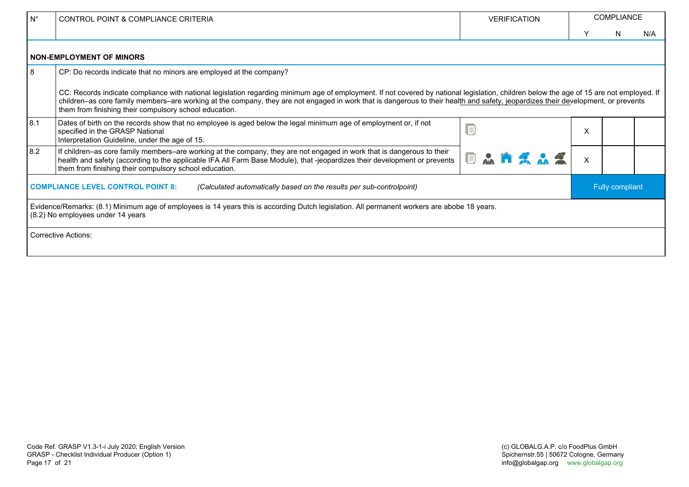| $N^{\circ}$                                                                                                                                                                      | CONTROL POINT & COMPLIANCE CRITERIA                                                                                                                                                                                                                                                                                                                                                                                                     | <b>VERIFICATION</b> | <b>COMPLIANCE</b> |    |     |
|----------------------------------------------------------------------------------------------------------------------------------------------------------------------------------|-----------------------------------------------------------------------------------------------------------------------------------------------------------------------------------------------------------------------------------------------------------------------------------------------------------------------------------------------------------------------------------------------------------------------------------------|---------------------|-------------------|----|-----|
|                                                                                                                                                                                  |                                                                                                                                                                                                                                                                                                                                                                                                                                         |                     |                   | N. | N/A |
|                                                                                                                                                                                  | <b>NON-EMPLOYMENT OF MINORS</b>                                                                                                                                                                                                                                                                                                                                                                                                         |                     |                   |    |     |
| 8                                                                                                                                                                                | CP: Do records indicate that no minors are employed at the company?                                                                                                                                                                                                                                                                                                                                                                     |                     |                   |    |     |
|                                                                                                                                                                                  | CC: Records indicate compliance with national legislation regarding minimum age of employment. If not covered by national legislation, children below the age of 15 are not employed. If<br>children-as core family members-are working at the company, they are not engaged in work that is dangerous to their health and safety, jeopardizes their development, or prevents<br>them from finishing their compulsory school education. |                     |                   |    |     |
| 8.1                                                                                                                                                                              | Dates of birth on the records show that no employee is aged below the legal minimum age of employment or, if not<br>specified in the GRASP National<br>Interpretation Guideline, under the age of 15.                                                                                                                                                                                                                                   |                     | X                 |    |     |
| 8.2                                                                                                                                                                              | If children-as core family members-are working at the company, they are not engaged in work that is dangerous to their<br>health and safety (according to the applicable IFA All Farm Base Module), that -jeopardizes their development or prevents<br>them from finishing their compulsory school education.                                                                                                                           | <b>RAAA</b>         | X                 |    |     |
|                                                                                                                                                                                  | <b>COMPLIANCE LEVEL CONTROL POINT 8:</b><br>(Calculated automatically based on the results per sub-controlpoint)                                                                                                                                                                                                                                                                                                                        |                     | Fully compliant   |    |     |
| Evidence/Remarks: (8.1) Minimum age of employees is 14 years this is according Dutch legislation. All permanent workers are abobe 18 years.<br>(8.2) No employees under 14 years |                                                                                                                                                                                                                                                                                                                                                                                                                                         |                     |                   |    |     |
| <b>Corrective Actions:</b>                                                                                                                                                       |                                                                                                                                                                                                                                                                                                                                                                                                                                         |                     |                   |    |     |
|                                                                                                                                                                                  |                                                                                                                                                                                                                                                                                                                                                                                                                                         |                     |                   |    |     |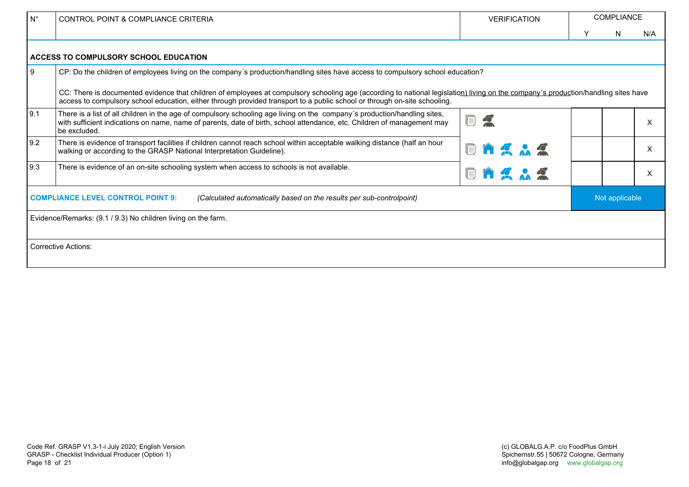| $\mathsf{N}^\circ$                                                                                               | CONTROL POINT & COMPLIANCE CRITERIA                                                                                                                                                                                                                                                                             | <b>VERIFICATION</b>       | COMPLIANCE     |    |     |
|------------------------------------------------------------------------------------------------------------------|-----------------------------------------------------------------------------------------------------------------------------------------------------------------------------------------------------------------------------------------------------------------------------------------------------------------|---------------------------|----------------|----|-----|
|                                                                                                                  |                                                                                                                                                                                                                                                                                                                 |                           | Υ              | N. | N/A |
|                                                                                                                  | ACCESS TO COMPULSORY SCHOOL EDUCATION                                                                                                                                                                                                                                                                           |                           |                |    |     |
| 9                                                                                                                | CP: Do the children of employees living on the company's production/handling sites have access to compulsory school education?                                                                                                                                                                                  |                           |                |    |     |
|                                                                                                                  | CC: There is documented evidence that children of employees at compulsory schooling age (according to national legislation) living on the company's production/handling sites have<br>access to compulsory school education, either through provided transport to a public school or through on-site schooling. |                           |                |    |     |
| 9.1                                                                                                              | There is a list of all children in the age of compulsory schooling age living on the company's production/handling sites,<br>with sufficient indications on name, name of parents, date of birth, school attendance, etc. Children of management may<br>be excluded.                                            | $\blacksquare$<br>$\circ$ |                |    | X   |
| 19.2                                                                                                             | There is evidence of transport facilities if children cannot reach school within acceptable walking distance (half an hour<br>walking or according to the GRASP National Interpretation Guideline).                                                                                                             | <b>AAAA</b>               |                |    | X   |
| 9.3                                                                                                              | There is evidence of an on-site schooling system when access to schools is not available.                                                                                                                                                                                                                       | AS & S                    |                |    | X   |
| <b>COMPLIANCE LEVEL CONTROL POINT 9:</b><br>(Calculated automatically based on the results per sub-controlpoint) |                                                                                                                                                                                                                                                                                                                 |                           | Not applicable |    |     |
| Evidence/Remarks: (9.1 / 9.3) No children living on the farm.                                                    |                                                                                                                                                                                                                                                                                                                 |                           |                |    |     |
| <b>Corrective Actions:</b>                                                                                       |                                                                                                                                                                                                                                                                                                                 |                           |                |    |     |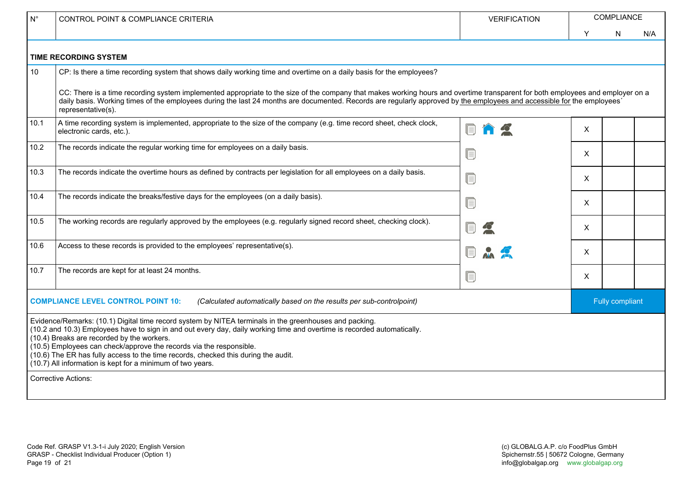| $N^{\circ}$                                                                                                                                                                                                                                                                                                                                                                                                                                                                                                | CONTROL POINT & COMPLIANCE CRITERIA                                                                                                                                                                                                                                                                                                                                             | <b>VERIFICATION</b> | COMPLIANCE |                 |     |  |
|------------------------------------------------------------------------------------------------------------------------------------------------------------------------------------------------------------------------------------------------------------------------------------------------------------------------------------------------------------------------------------------------------------------------------------------------------------------------------------------------------------|---------------------------------------------------------------------------------------------------------------------------------------------------------------------------------------------------------------------------------------------------------------------------------------------------------------------------------------------------------------------------------|---------------------|------------|-----------------|-----|--|
|                                                                                                                                                                                                                                                                                                                                                                                                                                                                                                            |                                                                                                                                                                                                                                                                                                                                                                                 |                     | Y          | N               | N/A |  |
|                                                                                                                                                                                                                                                                                                                                                                                                                                                                                                            | <b>TIME RECORDING SYSTEM</b>                                                                                                                                                                                                                                                                                                                                                    |                     |            |                 |     |  |
| 10                                                                                                                                                                                                                                                                                                                                                                                                                                                                                                         | CP: Is there a time recording system that shows daily working time and overtime on a daily basis for the employees?                                                                                                                                                                                                                                                             |                     |            |                 |     |  |
|                                                                                                                                                                                                                                                                                                                                                                                                                                                                                                            | CC: There is a time recording system implemented appropriate to the size of the company that makes working hours and overtime transparent for both employees and employer on a<br>daily basis. Working times of the employees during the last 24 months are documented. Records are regularly approved by the employees and accessible for the employees'<br>representative(s). |                     |            |                 |     |  |
| 10.1                                                                                                                                                                                                                                                                                                                                                                                                                                                                                                       | A time recording system is implemented, appropriate to the size of the company (e.g. time record sheet, check clock,<br>electronic cards, etc.).                                                                                                                                                                                                                                |                     | X          |                 |     |  |
| 10.2                                                                                                                                                                                                                                                                                                                                                                                                                                                                                                       | The records indicate the regular working time for employees on a daily basis.                                                                                                                                                                                                                                                                                                   | ſ.                  | $\times$   |                 |     |  |
| 10.3                                                                                                                                                                                                                                                                                                                                                                                                                                                                                                       | The records indicate the overtime hours as defined by contracts per legislation for all employees on a daily basis.                                                                                                                                                                                                                                                             | n                   | X          |                 |     |  |
| 10.4                                                                                                                                                                                                                                                                                                                                                                                                                                                                                                       | The records indicate the breaks/festive days for the employees (on a daily basis).                                                                                                                                                                                                                                                                                              | IE                  | X          |                 |     |  |
| 10.5                                                                                                                                                                                                                                                                                                                                                                                                                                                                                                       | The working records are regularly approved by the employees (e.g. regularly signed record sheet, checking clock).                                                                                                                                                                                                                                                               |                     | X          |                 |     |  |
| 10.6                                                                                                                                                                                                                                                                                                                                                                                                                                                                                                       | Access to these records is provided to the employees' representative(s).                                                                                                                                                                                                                                                                                                        | IEI                 | X          |                 |     |  |
| 10.7                                                                                                                                                                                                                                                                                                                                                                                                                                                                                                       | The records are kept for at least 24 months.                                                                                                                                                                                                                                                                                                                                    | li j                | X          |                 |     |  |
| <b>COMPLIANCE LEVEL CONTROL POINT 10:</b><br>(Calculated automatically based on the results per sub-controlpoint)                                                                                                                                                                                                                                                                                                                                                                                          |                                                                                                                                                                                                                                                                                                                                                                                 |                     |            | Fully compliant |     |  |
| Evidence/Remarks: (10.1) Digital time record system by NITEA terminals in the greenhouses and packing.<br>(10.2 and 10.3) Employees have to sign in and out every day, daily working time and overtime is recorded automatically.<br>(10.4) Breaks are recorded by the workers.<br>(10.5) Employees can check/approve the records via the responsible.<br>(10.6) The ER has fully access to the time records, checked this during the audit.<br>(10.7) All information is kept for a minimum of two years. |                                                                                                                                                                                                                                                                                                                                                                                 |                     |            |                 |     |  |
|                                                                                                                                                                                                                                                                                                                                                                                                                                                                                                            | <b>Corrective Actions:</b>                                                                                                                                                                                                                                                                                                                                                      |                     |            |                 |     |  |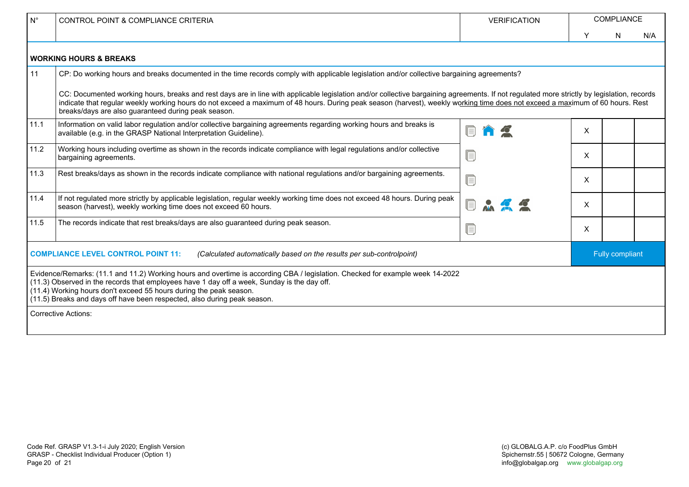| $N^{\circ}$                                                                                                                                                                                                                                                                                                                                                                    | CONTROL POINT & COMPLIANCE CRITERIA                                                                                                                                                                                                                                                                                                                                                                                                | <b>VERIFICATION</b> | <b>COMPLIANCE</b>      |   |     |
|--------------------------------------------------------------------------------------------------------------------------------------------------------------------------------------------------------------------------------------------------------------------------------------------------------------------------------------------------------------------------------|------------------------------------------------------------------------------------------------------------------------------------------------------------------------------------------------------------------------------------------------------------------------------------------------------------------------------------------------------------------------------------------------------------------------------------|---------------------|------------------------|---|-----|
|                                                                                                                                                                                                                                                                                                                                                                                |                                                                                                                                                                                                                                                                                                                                                                                                                                    |                     | Y                      | N | N/A |
|                                                                                                                                                                                                                                                                                                                                                                                | <b>WORKING HOURS &amp; BREAKS</b>                                                                                                                                                                                                                                                                                                                                                                                                  |                     |                        |   |     |
| 11                                                                                                                                                                                                                                                                                                                                                                             | CP: Do working hours and breaks documented in the time records comply with applicable legislation and/or collective bargaining agreements?                                                                                                                                                                                                                                                                                         |                     |                        |   |     |
|                                                                                                                                                                                                                                                                                                                                                                                | CC: Documented working hours, breaks and rest days are in line with applicable legislation and/or collective bargaining agreements. If not regulated more strictly by legislation, records<br>indicate that regular weekly working hours do not exceed a maximum of 48 hours. During peak season (harvest), weekly working time does not exceed a maximum of 60 hours. Rest<br>breaks/days are also guaranteed during peak season. |                     |                        |   |     |
| 11.1                                                                                                                                                                                                                                                                                                                                                                           | Information on valid labor regulation and/or collective bargaining agreements regarding working hours and breaks is<br>available (e.g. in the GRASP National Interpretation Guideline).                                                                                                                                                                                                                                            |                     | X                      |   |     |
| 11.2                                                                                                                                                                                                                                                                                                                                                                           | Working hours including overtime as shown in the records indicate compliance with legal regulations and/or collective<br>bargaining agreements.                                                                                                                                                                                                                                                                                    |                     | X                      |   |     |
| 11.3                                                                                                                                                                                                                                                                                                                                                                           | Rest breaks/days as shown in the records indicate compliance with national regulations and/or bargaining agreements.                                                                                                                                                                                                                                                                                                               | IE                  | X                      |   |     |
| 11.4                                                                                                                                                                                                                                                                                                                                                                           | If not regulated more strictly by applicable legislation, regular weekly working time does not exceed 48 hours. During peak<br>season (harvest), weekly working time does not exceed 60 hours.                                                                                                                                                                                                                                     |                     | X                      |   |     |
| 11.5                                                                                                                                                                                                                                                                                                                                                                           | The records indicate that rest breaks/days are also guaranteed during peak season.                                                                                                                                                                                                                                                                                                                                                 | IE,                 | X                      |   |     |
| <b>COMPLIANCE LEVEL CONTROL POINT 11:</b><br>(Calculated automatically based on the results per sub-controlpoint)                                                                                                                                                                                                                                                              |                                                                                                                                                                                                                                                                                                                                                                                                                                    |                     | <b>Fully compliant</b> |   |     |
| Evidence/Remarks: (11.1 and 11.2) Working hours and overtime is according CBA / legislation. Checked for example week 14-2022<br>(11.3) Observed in the records that employees have 1 day off a week, Sunday is the day off.<br>(11.4) Working hours don't exceed 55 hours during the peak season.<br>(11.5) Breaks and days off have been respected, also during peak season. |                                                                                                                                                                                                                                                                                                                                                                                                                                    |                     |                        |   |     |
|                                                                                                                                                                                                                                                                                                                                                                                | <b>Corrective Actions:</b>                                                                                                                                                                                                                                                                                                                                                                                                         |                     |                        |   |     |